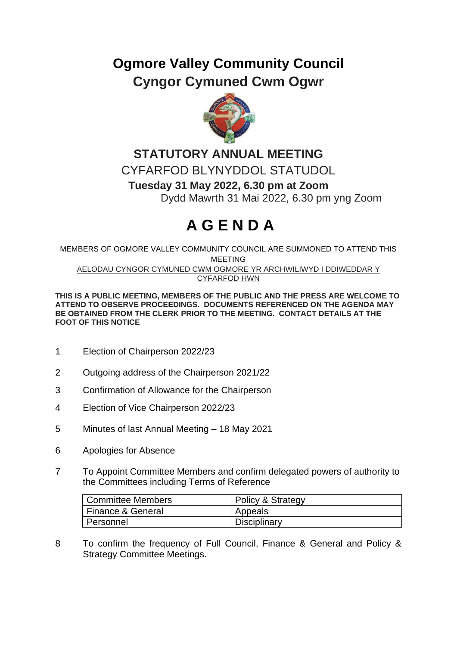## **Ogmore Valley Community Council Cyngor Cymuned Cwm Ogwr**



## **STATUTORY ANNUAL MEETING** CYFARFOD BLYNYDDOL STATUDOL **Tuesday 31 May 2022, 6.30 pm at Zoom** Dydd Mawrth 31 Mai 2022, 6.30 pm yng Zoom

## **A G E N D A**

MEMBERS OF OGMORE VALLEY COMMUNITY COUNCIL ARE SUMMONED TO ATTEND THIS MEETING AELODAU CYNGOR CYMUNED CWM OGMORE YR ARCHWILIWYD I DDIWEDDAR Y CYFARFOD HWN

**THIS IS A PUBLIC MEETING, MEMBERS OF THE PUBLIC AND THE PRESS ARE WELCOME TO ATTEND TO OBSERVE PROCEEDINGS. DOCUMENTS REFERENCED ON THE AGENDA MAY BE OBTAINED FROM THE CLERK PRIOR TO THE MEETING. CONTACT DETAILS AT THE FOOT OF THIS NOTICE**

- 1 Election of Chairperson 2022/23
- 2 Outgoing address of the Chairperson 2021/22
- 3 Confirmation of Allowance for the Chairperson
- 4 Election of Vice Chairperson 2022/23
- 5 Minutes of last Annual Meeting 18 May 2021
- 6 Apologies for Absence
- 7 To Appoint Committee Members and confirm delegated powers of authority to the Committees including Terms of Reference

| <sup>1</sup> Committee Members | Policy & Strategy |
|--------------------------------|-------------------|
| Finance & General              | Appeals           |
| l Personnel                    | Disciplinary      |

8 To confirm the frequency of Full Council, Finance & General and Policy & Strategy Committee Meetings.